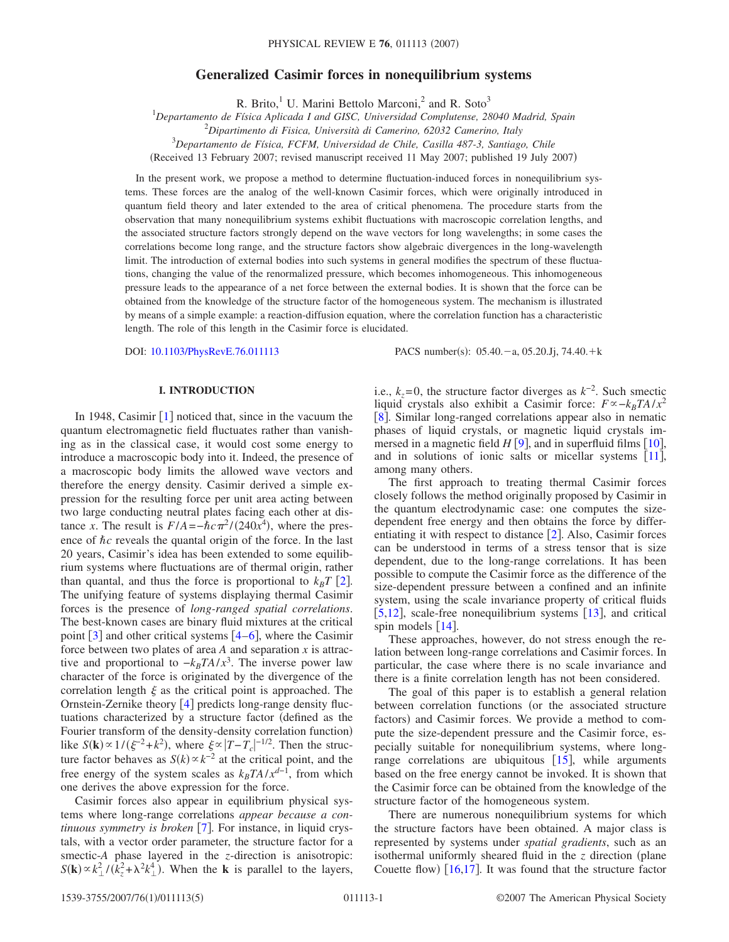# **Generalized Casimir forces in nonequilibrium systems**

R. Brito, $\frac{1}{1}$  U. Marini Bettolo Marconi, $\frac{2}{1}$  and R. Soto<sup>3</sup>

1 *Departamento de Física Aplicada I and GISC, Universidad Complutense, 28040 Madrid, Spain*

2 *Dipartimento di Fisica, Università di Camerino, 62032 Camerino, Italy*

3 *Departamento de Física, FCFM, Universidad de Chile, Casilla 487-3, Santiago, Chile*

(Received 13 February 2007; revised manuscript received 11 May 2007; published 19 July 2007)

In the present work, we propose a method to determine fluctuation-induced forces in nonequilibrium systems. These forces are the analog of the well-known Casimir forces, which were originally introduced in quantum field theory and later extended to the area of critical phenomena. The procedure starts from the observation that many nonequilibrium systems exhibit fluctuations with macroscopic correlation lengths, and the associated structure factors strongly depend on the wave vectors for long wavelengths; in some cases the correlations become long range, and the structure factors show algebraic divergences in the long-wavelength limit. The introduction of external bodies into such systems in general modifies the spectrum of these fluctuations, changing the value of the renormalized pressure, which becomes inhomogeneous. This inhomogeneous pressure leads to the appearance of a net force between the external bodies. It is shown that the force can be obtained from the knowledge of the structure factor of the homogeneous system. The mechanism is illustrated by means of a simple example: a reaction-diffusion equation, where the correlation function has a characteristic length. The role of this length in the Casimir force is elucidated.

DOI: [10.1103/PhysRevE.76.011113](http://dx.doi.org/10.1103/PhysRevE.76.011113)

:  $05.40 - a$ ,  $05.20$ . Jj,  $74.40 + k$ 

# **I. INTRODUCTION**

In [1](#page-4-0)948, Casimir  $\lceil 1 \rceil$  noticed that, since in the vacuum the quantum electromagnetic field fluctuates rather than vanishing as in the classical case, it would cost some energy to introduce a macroscopic body into it. Indeed, the presence of a macroscopic body limits the allowed wave vectors and therefore the energy density. Casimir derived a simple expression for the resulting force per unit area acting between two large conducting neutral plates facing each other at distance *x*. The result is  $F/A = -\hbar c \pi^2/(240x^4)$ , where the presence of  $\hbar c$  reveals the quantal origin of the force. In the last 20 years, Casimir's idea has been extended to some equilibrium systems where fluctuations are of thermal origin, rather than quantal, and thus the force is proportional to  $k_B T$  [[2](#page-4-1)]. The unifying feature of systems displaying thermal Casimir forces is the presence of *long-ranged spatial correlations*. The best-known cases are binary fluid mixtures at the critical point  $\lceil 3 \rceil$  $\lceil 3 \rceil$  $\lceil 3 \rceil$  and other critical systems  $\lceil 4-6 \rceil$  $\lceil 4-6 \rceil$  $\lceil 4-6 \rceil$ , where the Casimir force between two plates of area *A* and separation *x* is attractive and proportional to  $-k_B T A / x^3$ . The inverse power law character of the force is originated by the divergence of the correlation length  $\xi$  as the critical point is approached. The Ornstein-Zernike theory  $[4]$  $[4]$  $[4]$  predicts long-range density fluctuations characterized by a structure factor defined as the Fourier transform of the density-density correlation function) like  $S(\mathbf{k}) \propto 1/(\xi^{-2} + k^2)$ , where  $\xi \propto |T - T_c|^{-1/2}$ . Then the structure factor behaves as  $S(k) \propto k^{-2}$  at the critical point, and the free energy of the system scales as  $k_B T A / x^{d-1}$ , from which one derives the above expression for the force.

Casimir forces also appear in equilibrium physical systems where long-range correlations *appear because a continuous symmetry is broken* [[7](#page-4-5)]. For instance, in liquid crystals, with a vector order parameter, the structure factor for a smectic-*A* phase layered in the *z*-direction is anisotropic:  $S(\mathbf{k}) \propto k_{\perp}^2 / (\hat{k}_z^2 + \lambda^2 k_{\perp}^4)$ . When the **k** is parallel to the layers,

i.e.,  $k_z$ =0, the structure factor diverges as  $k^{-2}$ . Such smectic liquid crystals also exhibit a Casimir force:  $F \propto -k_B T A / x^2$ [[8](#page-4-6)]. Similar long-ranged correlations appear also in nematic phases of liquid crystals, or magnetic liquid crystals immersed in a magnetic field  $H[9]$  $H[9]$  $H[9]$ , and in superfluid films [[10](#page-4-8)], and in solutions of ionic salts or micellar systems  $[11]$  $[11]$  $[11]$ , among many others.

The first approach to treating thermal Casimir forces closely follows the method originally proposed by Casimir in the quantum electrodynamic case: one computes the sizedependent free energy and then obtains the force by differentiating it with respect to distance  $[2]$  $[2]$  $[2]$ . Also, Casimir forces can be understood in terms of a stress tensor that is size dependent, due to the long-range correlations. It has been possible to compute the Casimir force as the difference of the size-dependent pressure between a confined and an infinite system, using the scale invariance property of critical fluids  $[5,12]$  $[5,12]$  $[5,12]$  $[5,12]$ , scale-free nonequilibrium systems  $[13]$  $[13]$  $[13]$ , and critical spin models  $[14]$  $[14]$  $[14]$ .

These approaches, however, do not stress enough the relation between long-range correlations and Casimir forces. In particular, the case where there is no scale invariance and there is a finite correlation length has not been considered.

The goal of this paper is to establish a general relation between correlation functions (or the associated structure factors) and Casimir forces. We provide a method to compute the size-dependent pressure and the Casimir force, especially suitable for nonequilibrium systems, where longrange correlations are ubiquitous  $[15]$  $[15]$  $[15]$ , while arguments based on the free energy cannot be invoked. It is shown that the Casimir force can be obtained from the knowledge of the structure factor of the homogeneous system.

There are numerous nonequilibrium systems for which the structure factors have been obtained. A major class is represented by systems under *spatial gradients*, such as an isothermal uniformly sheared fluid in the  $z$  direction (plane Couette flow)  $[16,17]$  $[16,17]$  $[16,17]$  $[16,17]$ . It was found that the structure factor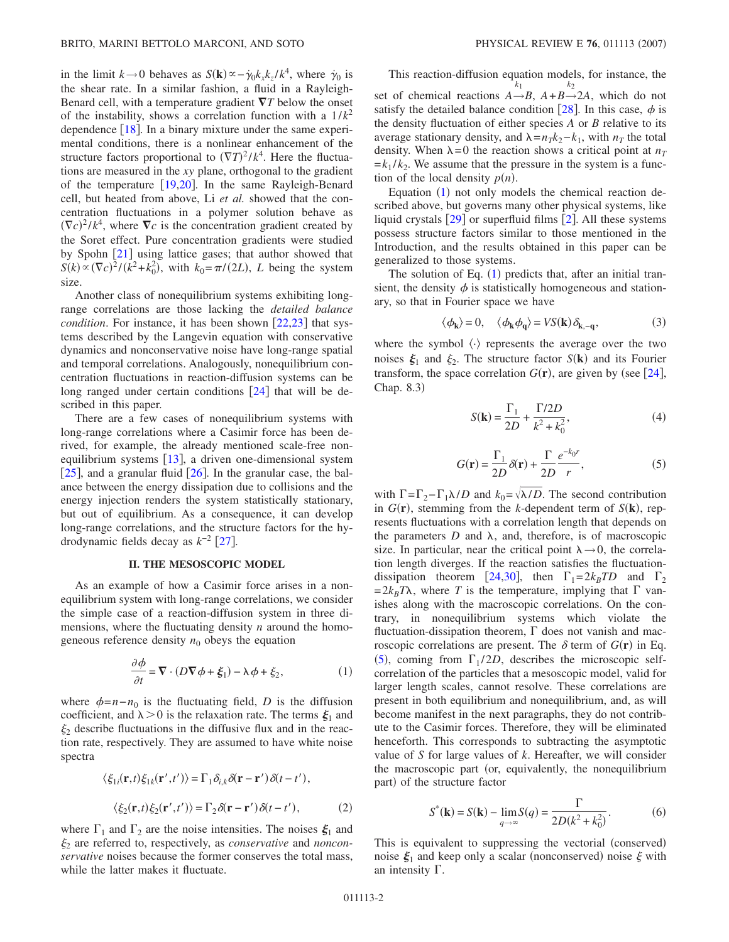in the limit  $k \to 0$  behaves as  $S(\mathbf{k}) \propto -\dot{\gamma}_0 k_x k_z / k^4$ , where  $\dot{\gamma}_0$  is the shear rate. In a similar fashion, a fluid in a Rayleigh-Benard cell, with a temperature gradient  $\nabla T$  below the onset of the instability, shows a correlation function with a  $1/k^2$ dependence  $[18]$  $[18]$  $[18]$ . In a binary mixture under the same experimental conditions, there is a nonlinear enhancement of the structure factors proportional to  $(\nabla T)^2 / k^4$ . Here the fluctuations are measured in the *xy* plane, orthogonal to the gradient of the temperature  $[19,20]$  $[19,20]$  $[19,20]$  $[19,20]$ . In the same Rayleigh-Benard cell, but heated from above, Li *et al.* showed that the concentration fluctuations in a polymer solution behave as  $(\nabla c)^2 / k^4$ , where  $\nabla c$  is the concentration gradient created by the Soret effect. Pure concentration gradients were studied by Spohn  $\lceil 21 \rceil$  $\lceil 21 \rceil$  $\lceil 21 \rceil$  using lattice gases; that author showed that  $S(k) \propto (\nabla c)^2 / (k^2 + k_0^2)$ , with  $k_0 = \pi / (2L)$ , *L* being the system size.

Another class of nonequilibrium systems exhibiting longrange correlations are those lacking the *detailed balance condition*. For instance, it has been shown [[22](#page-4-21)[,23](#page-4-22)] that systems described by the Langevin equation with conservative dynamics and nonconservative noise have long-range spatial and temporal correlations. Analogously, nonequilibrium concentration fluctuations in reaction-diffusion systems can be long ranged under certain conditions  $[24]$  $[24]$  $[24]$  that will be described in this paper.

There are a few cases of nonequilibrium systems with long-range correlations where a Casimir force has been derived, for example, the already mentioned scale-free nonequilibrium systems  $\lceil 13 \rceil$  $\lceil 13 \rceil$  $\lceil 13 \rceil$ , a driven one-dimensional system  $|25|$  $|25|$  $|25|$ , and a granular fluid  $|26|$  $|26|$  $|26|$ . In the granular case, the balance between the energy dissipation due to collisions and the energy injection renders the system statistically stationary, but out of equilibrium. As a consequence, it can develop long-range correlations, and the structure factors for the hydrodynamic fields decay as  $k^{-2}$  [[27](#page-4-26)].

## **II. THE MESOSCOPIC MODEL**

As an example of how a Casimir force arises in a nonequilibrium system with long-range correlations, we consider the simple case of a reaction-diffusion system in three dimensions, where the fluctuating density *n* around the homogeneous reference density  $n_0$  obeys the equation

$$
\frac{\partial \phi}{\partial t} = \nabla \cdot (D \nabla \phi + \xi_1) - \lambda \phi + \xi_2, \tag{1}
$$

<span id="page-1-0"></span>where  $\phi = n - n_0$  is the fluctuating field, *D* is the diffusion coefficient, and  $\lambda > 0$  is the relaxation rate. The terms  $\xi_1$  and  $\xi_2$  describe fluctuations in the diffusive flux and in the reaction rate, respectively. They are assumed to have white noise spectra

$$
\langle \xi_{1i}(\mathbf{r},t)\xi_{1k}(\mathbf{r}',t')\rangle = \Gamma_1 \delta_{i,k} \delta(\mathbf{r}-\mathbf{r}')\delta(t-t'),
$$
  

$$
\langle \xi_2(\mathbf{r},t)\xi_2(\mathbf{r}',t')\rangle = \Gamma_2 \delta(\mathbf{r}-\mathbf{r}')\delta(t-t'),
$$
 (2)

where  $\Gamma_1$  and  $\Gamma_2$  are the noise intensities. The noises  $\xi_1$  and <sup>2</sup> are referred to, respectively, as *conservative* and *nonconservative* noises because the former conserves the total mass, while the latter makes it fluctuate.

This reaction-diffusion equation models, for instance, the set of chemical reactions  $A \rightarrow B$ ,  $A + B \rightarrow 2A$ , which do not  $k_1$   $k_2$ satisfy the detailed balance condition [[28](#page-4-17)]. In this case,  $\phi$  is the density fluctuation of either species *A* or *B* relative to its average stationary density, and  $\lambda = n_T k_2 - k_1$ , with  $n_T$  the total density. When  $\lambda = 0$  the reaction shows a critical point at  $n_T$  $=k_1 / k_2$ . We assume that the pressure in the system is a function of the local density  $p(n)$ .

Equation  $(1)$  $(1)$  $(1)$  not only models the chemical reaction described above, but governs many other physical systems, like liquid crystals  $\lceil 29 \rceil$  $\lceil 29 \rceil$  $\lceil 29 \rceil$  or superfluid films  $\lceil 2 \rceil$  $\lceil 2 \rceil$  $\lceil 2 \rceil$ . All these systems possess structure factors similar to those mentioned in the Introduction, and the results obtained in this paper can be generalized to those systems.

The solution of Eq.  $(1)$  $(1)$  $(1)$  predicts that, after an initial transient, the density  $\phi$  is statistically homogeneous and stationary, so that in Fourier space we have

$$
\langle \phi_{\mathbf{k}} \rangle = 0, \quad \langle \phi_{\mathbf{k}} \phi_{\mathbf{q}} \rangle = VS(\mathbf{k}) \, \delta_{\mathbf{k}, -\mathbf{q}}, \tag{3}
$$

where the symbol  $\langle \cdot \rangle$  represents the average over the two noises  $\xi_1$  and  $\xi_2$ . The structure factor *S*(**k**) and its Fourier transform, the space correlation  $G(\mathbf{r})$ , are given by (see [[24](#page-4-23)], Chap. 8.3)

$$
S(\mathbf{k}) = \frac{\Gamma_1}{2D} + \frac{\Gamma/2D}{k^2 + k_0^2},\tag{4}
$$

$$
G(\mathbf{r}) = \frac{\Gamma_1}{2D} \delta(\mathbf{r}) + \frac{\Gamma}{2D} \frac{e^{-k_0 r}}{r},
$$
 (5)

<span id="page-1-1"></span>with  $\Gamma = \Gamma_2 - \Gamma_1 \lambda/D$  and  $k_0 = \sqrt{\lambda/D}$ . The second contribution in  $G(\mathbf{r})$ , stemming from the *k*-dependent term of  $S(\mathbf{k})$ , represents fluctuations with a correlation length that depends on the parameters  $D$  and  $\lambda$ , and, therefore, is of macroscopic size. In particular, near the critical point  $\lambda \rightarrow 0$ , the correlation length diverges. If the reaction satisfies the fluctuation-dissipation theorem [[24](#page-4-23)[,30](#page-4-28)], then  $\Gamma_1 = 2k_BTD$  and  $\Gamma_2$  $= 2k_B T\lambda$ , where *T* is the temperature, implying that  $\Gamma$  vanishes along with the macroscopic correlations. On the contrary, in nonequilibrium systems which violate the fluctuation-dissipation theorem,  $\Gamma$  does not vanish and macroscopic correlations are present. The  $\delta$  term of  $G(\mathbf{r})$  in Eq. ([5](#page-1-1)), coming from  $\Gamma_1/2D$ , describes the microscopic selfcorrelation of the particles that a mesoscopic model, valid for larger length scales, cannot resolve. These correlations are present in both equilibrium and nonequilibrium, and, as will become manifest in the next paragraphs, they do not contribute to the Casimir forces. Therefore, they will be eliminated henceforth. This corresponds to subtracting the asymptotic value of *S* for large values of *k*. Hereafter, we will consider the macroscopic part (or, equivalently, the nonequilibrium part) of the structure factor

$$
S^*(\mathbf{k}) = S(\mathbf{k}) - \lim_{q \to \infty} S(q) = \frac{\Gamma}{2D(k^2 + k_0^2)}.
$$
 (6)

This is equivalent to suppressing the vectorial (conserved) noise  $\xi_1$  and keep only a scalar (nonconserved) noise  $\xi$  with an intensity  $\Gamma$ .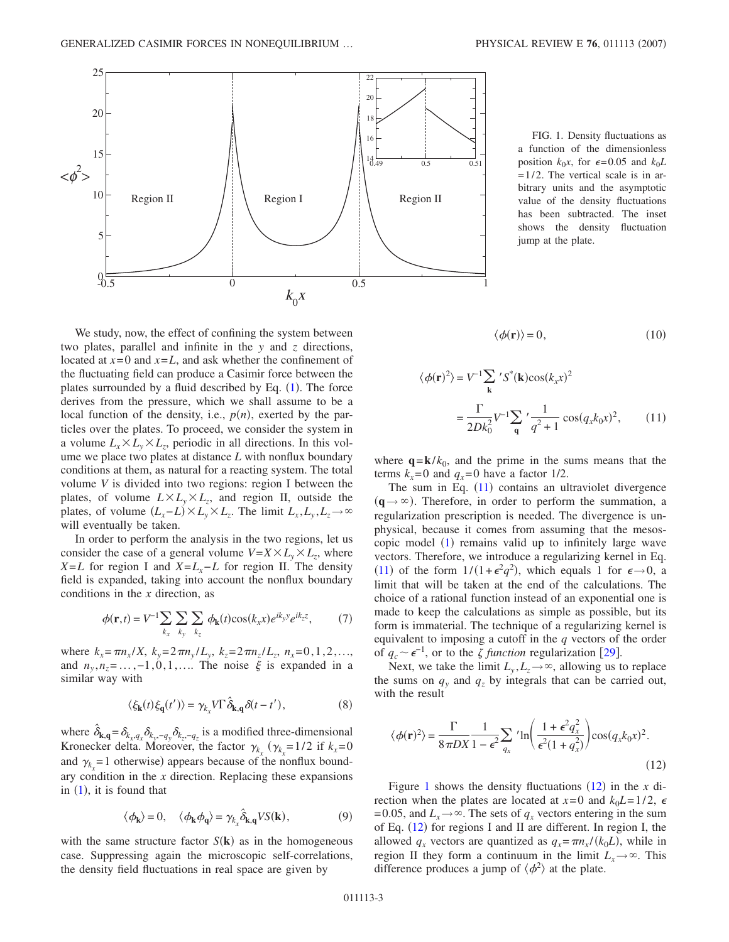<span id="page-2-1"></span>

FIG. 1. Density fluctuations as a function of the dimensionless position  $k_0x$ , for  $\epsilon = 0.05$  and  $k_0L$  $= 1/2$ . The vertical scale is in arbitrary units and the asymptotic value of the density fluctuations has been subtracted. The inset shows the density fluctuation jump at the plate.

$$
\langle \phi(\mathbf{r}) \rangle = 0,\tag{10}
$$

<span id="page-2-0"></span>
$$
\langle \phi(\mathbf{r})^2 \rangle = V^{-1} \sum_{\mathbf{k}} 'S^*(\mathbf{k}) \cos(k_x x)^2
$$

$$
= \frac{\Gamma}{2Dk_0^2} V^{-1} \sum_{\mathbf{q}} ' \frac{1}{q^2 + 1} \cos(q_x k_0 x)^2, \qquad (11)
$$

where  $q = k/k_0$ , and the prime in the sums means that the terms  $k_x=0$  and  $q_x=0$  have a factor 1/2.

The sum in Eq.  $(11)$  $(11)$  $(11)$  contains an ultraviolet divergence  $(q \rightarrow \infty)$ . Therefore, in order to perform the summation, a regularization prescription is needed. The divergence is unphysical, because it comes from assuming that the mesoscopic model  $(1)$  $(1)$  $(1)$  remains valid up to infinitely large wave vectors. Therefore, we introduce a regularizing kernel in Eq. ([11](#page-2-0)) of the form  $1/(1+\epsilon^2 q^2)$ , which equals 1 for  $\epsilon \rightarrow 0$ , a limit that will be taken at the end of the calculations. The choice of a rational function instead of an exponential one is made to keep the calculations as simple as possible, but its form is immaterial. The technique of a regularizing kernel is equivalent to imposing a cutoff in the *q* vectors of the order of  $q_c \sim \epsilon^{-1}$ , or to the  $\zeta$  function regularization [[29](#page-4-27)].

Next, we take the limit  $L_v, L_z \rightarrow \infty$ , allowing us to replace the sums on  $q_y$  and  $q_z$  by integrals that can be carried out, with the result

<span id="page-2-2"></span>
$$
\langle \phi(\mathbf{r})^2 \rangle = \frac{\Gamma}{8\pi DX} \frac{1}{1 - \epsilon^2} \sum_{q_x} {}' \ln \left( \frac{1 + \epsilon^2 q_x^2}{\epsilon^2 (1 + q_x^2)} \right) \cos(q_x k_0 x)^2.
$$
\n(12)

Figure [1](#page-2-1) shows the density fluctuations  $(12)$  $(12)$  $(12)$  in the *x* direction when the plates are located at  $x=0$  and  $k_0L=1/2$ ,  $\epsilon$ = 0.05, and  $L_x \rightarrow \infty$ . The sets of  $q_x$  vectors entering in the sum of Eq.  $(12)$  $(12)$  $(12)$  for regions I and II are different. In region I, the allowed  $q_x$  vectors are quantized as  $q_x = \pi n_x / (k_0 L)$ , while in region II they form a continuum in the limit  $L<sub>x</sub>\rightarrow \infty$ . This difference produces a jump of  $\langle \phi^2 \rangle$  at the plate.

We study, now, the effect of confining the system between two plates, parallel and infinite in the *y* and *z* directions, located at  $x=0$  and  $x=L$ , and ask whether the confinement of the fluctuating field can produce a Casimir force between the plates surrounded by a fluid described by Eq.  $(1)$  $(1)$  $(1)$ . The force derives from the pressure, which we shall assume to be a local function of the density, i.e.,  $p(n)$ , exerted by the particles over the plates. To proceed, we consider the system in a volume  $L_x \times L_y \times L_z$ , periodic in all directions. In this volume we place two plates at distance *L* with nonflux boundary conditions at them, as natural for a reacting system. The total volume *V* is divided into two regions: region I between the plates, of volume  $L \times L_v \times L_z$ , and region II, outside the plates, of volume  $(L_x - L) \times L_y \times L_z$ . The limit  $L_x, L_y, L_z \to \infty$ will eventually be taken.

In order to perform the analysis in the two regions, let us consider the case of a general volume  $V = X \times L_v \times L_z$ , where *X*=*L* for region I and *X*=*L<sub>x</sub>*−*L* for region II. The density field is expanded, taking into account the nonflux boundary conditions in the *x* direction, as

$$
\phi(\mathbf{r},t) = V^{-1} \sum_{k_x} \sum_{k_y} \sum_{k_z} \phi_{\mathbf{k}}(t) \cos(k_x x) e^{ik_y y} e^{ik_z z}, \quad (7)
$$

where  $k_x = \pi n_x / X$ ,  $k_y = 2\pi n_y / L_y$ ,  $k_z = 2\pi n_z / L_z$ ,  $n_x = 0, 1, 2, \ldots$ and  $n_y, n_z = \ldots, -1, 0, 1, \ldots$  The noise  $\xi$  is expanded in a similar way with

$$
\langle \xi_{\mathbf{k}}(t)\xi_{\mathbf{q}}(t')\rangle = \gamma_{k_x} V \Gamma \,\hat{\delta}_{\mathbf{k},\mathbf{q}} \delta(t-t'),\tag{8}
$$

where  $\hat{\delta}_{\mathbf{k},\mathbf{q}} = \delta_{k_x,q_x} \delta_{k_y,-q_y} \delta_{k_z,-q_z}$  is a modified three-dimensional Kronecker delta. Moreover, the factor  $\gamma_{k_x}$  ( $\gamma_{k_x}$ =1/2 if  $k_x$ =0 and  $\gamma_{k_x}$  = 1 otherwise) appears because of the nonflux boundary condition in the *x* direction. Replacing these expansions in  $(1)$  $(1)$  $(1)$ , it is found that

$$
\langle \phi_{\mathbf{k}} \rangle = 0, \quad \langle \phi_{\mathbf{k}} \phi_{\mathbf{q}} \rangle = \gamma_{k_x} \hat{\delta}_{\mathbf{k}, \mathbf{q}} V S(\mathbf{k}), \tag{9}
$$

with the same structure factor  $S(\mathbf{k})$  as in the homogeneous case. Suppressing again the microscopic self-correlations, the density field fluctuations in real space are given by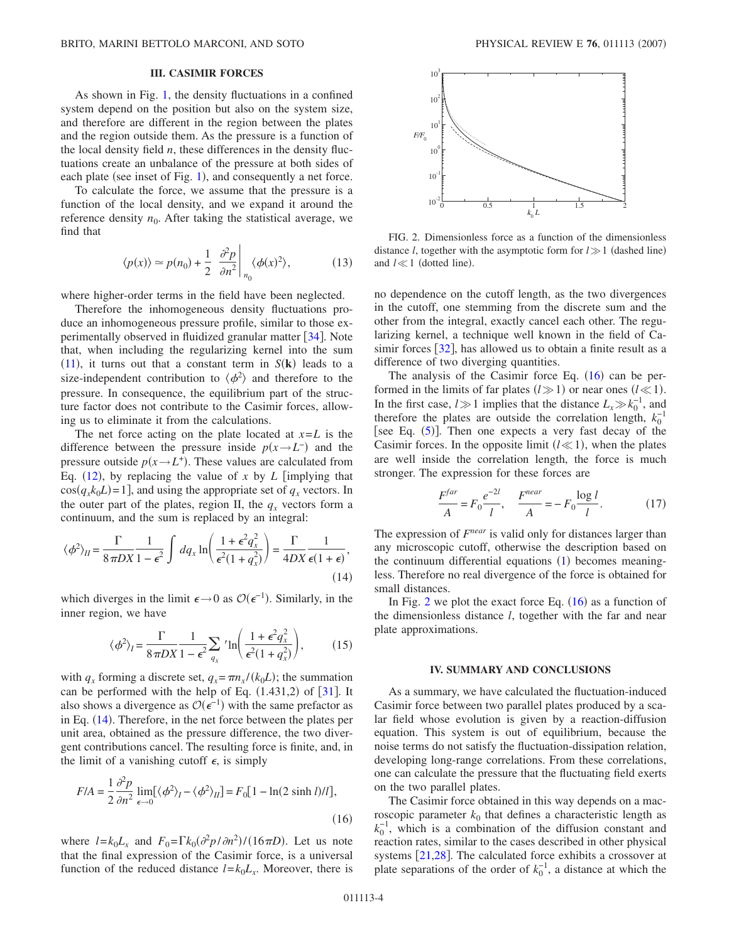### **III. CASIMIR FORCES**

As shown in Fig. [1,](#page-2-1) the density fluctuations in a confined system depend on the position but also on the system size, and therefore are different in the region between the plates and the region outside them. As the pressure is a function of the local density field *n*, these differences in the density fluctuations create an unbalance of the pressure at both sides of each plate (see inset of Fig. [1](#page-2-1)), and consequently a net force.

To calculate the force, we assume that the pressure is a function of the local density, and we expand it around the reference density  $n_0$ . After taking the statistical average, we find that

$$
\langle p(x) \rangle \simeq p(n_0) + \frac{1}{2} \left. \frac{\partial^2 p}{\partial n^2} \right|_{n_0} \langle \phi(x)^2 \rangle, \tag{13}
$$

where higher-order terms in the field have been neglected.

Therefore the inhomogeneous density fluctuations produce an inhomogeneous pressure profile, similar to those experimentally observed in fluidized granular matter  $\lceil 34 \rceil$  $\lceil 34 \rceil$  $\lceil 34 \rceil$ . Note that, when including the regularizing kernel into the sum  $(11)$  $(11)$  $(11)$ , it turns out that a constant term in  $S(\mathbf{k})$  leads to a size-independent contribution to  $\langle \phi^2 \rangle$  and therefore to the pressure. In consequence, the equilibrium part of the structure factor does not contribute to the Casimir forces, allowing us to eliminate it from the calculations.

The net force acting on the plate located at  $x = L$  is the difference between the pressure inside  $p(x \rightarrow L^{-})$  and the pressure outside  $p(x \rightarrow L^{+})$ . These values are calculated from Eq.  $(12)$  $(12)$  $(12)$ , by replacing the value of x by L [implying that  $cos(q_x k_0 L) = 1$ , and using the appropriate set of  $q_x$  vectors. In the outer part of the plates, region II, the  $q_x$  vectors form a continuum, and the sum is replaced by an integral:

<span id="page-3-0"></span>
$$
\langle \phi^2 \rangle_{II} = \frac{\Gamma}{8\pi DX} \frac{1}{1 - \epsilon^2} \int dq_x \ln \left( \frac{1 + \epsilon^2 q_x^2}{\epsilon^2 (1 + q_x^2)} \right) = \frac{\Gamma}{4DX} \frac{1}{\epsilon (1 + \epsilon)},
$$
\n(14)

which diverges in the limit  $\epsilon \rightarrow 0$  as  $\mathcal{O}(\epsilon^{-1})$ . Similarly, in the inner region, we have

$$
\langle \phi^2 \rangle_I = \frac{\Gamma}{8\pi DX} \frac{1}{1 - \epsilon^2} \sum_{q_x} {}' \ln \left( \frac{1 + \epsilon^2 q_x^2}{\epsilon^2 (1 + q_x^2)} \right), \tag{15}
$$

with  $q_x$  forming a discrete set,  $q_x = \pi n_x / (k_0 L)$ ; the summation can be performed with the help of Eq.  $(1.431,2)$  $(1.431,2)$  $(1.431,2)$  of  $\boxed{31}$ . It also shows a divergence as  $\mathcal{O}(\epsilon^{-1})$  with the same prefactor as in Eq. ([14](#page-3-0)). Therefore, in the net force between the plates per unit area, obtained as the pressure difference, the two divergent contributions cancel. The resulting force is finite, and, in the limit of a vanishing cutoff  $\epsilon$ , is simply

<span id="page-3-1"></span>
$$
F/A = \frac{1}{2} \frac{\partial^2 p}{\partial n^2} \lim_{\epsilon \to 0} [\langle \phi^2 \rangle_l - \langle \phi^2 \rangle_{ll}] = F_0 [1 - \ln(2 \sinh l) / l],
$$
\n(16)

where  $l = k_0 L_x$  and  $F_0 = \Gamma k_0 (\partial^2 p / \partial n^2) / (16 \pi D)$ . Let us note that the final expression of the Casimir force, is a universal function of the reduced distance  $l = k_0 L_x$ . Moreover, there is

<span id="page-3-2"></span>

FIG. 2. Dimensionless force as a function of the dimensionless distance *l*, together with the asymptotic form for  $l \gg 1$  (dashed line) and  $l \ll 1$  (dotted line).

no dependence on the cutoff length, as the two divergences in the cutoff, one stemming from the discrete sum and the other from the integral, exactly cancel each other. The regularizing kernel, a technique well known in the field of Casimir forces  $\lceil 32 \rceil$  $\lceil 32 \rceil$  $\lceil 32 \rceil$ , has allowed us to obtain a finite result as a difference of two diverging quantities.

The analysis of the Casimir force Eq.  $(16)$  $(16)$  $(16)$  can be performed in the limits of far plates  $(l \gg 1)$  or near ones  $(l \ll 1)$ . In the first case,  $l \gg 1$  implies that the distance  $L_x \gg k_0^{-1}$ , and therefore the plates are outside the correlation length,  $k_0^{-1}$ [see Eq.  $(5)$  $(5)$  $(5)$ ]. Then one expects a very fast decay of the Casimir forces. In the opposite limit  $(l \ll 1)$ , when the plates are well inside the correlation length, the force is much stronger. The expression for these forces are

$$
\frac{F^{far}}{A} = F_0 \frac{e^{-2l}}{l}, \quad \frac{F^{near}}{A} = -F_0 \frac{\log l}{l}.
$$
 (17)

The expression of *Fnear* is valid only for distances larger than any microscopic cutoff, otherwise the description based on the continuum differential equations ([1](#page-1-0)) becomes meaningless. Therefore no real divergence of the force is obtained for small distances.

In Fig. [2](#page-3-2) we plot the exact force Eq.  $(16)$  $(16)$  $(16)$  as a function of the dimensionless distance *l*, together with the far and near plate approximations.

#### **IV. SUMMARY AND CONCLUSIONS**

As a summary, we have calculated the fluctuation-induced Casimir force between two parallel plates produced by a scalar field whose evolution is given by a reaction-diffusion equation. This system is out of equilibrium, because the noise terms do not satisfy the fluctuation-dissipation relation, developing long-range correlations. From these correlations, one can calculate the pressure that the fluctuating field exerts on the two parallel plates.

The Casimir force obtained in this way depends on a macroscopic parameter  $k_0$  that defines a characteristic length as  $k_0^{-1}$ , which is a combination of the diffusion constant and reaction rates, similar to the cases described in other physical systems  $[21,28]$  $[21,28]$  $[21,28]$  $[21,28]$ . The calculated force exhibits a crossover at plate separations of the order of  $k_0^{-1}$ , a distance at which the